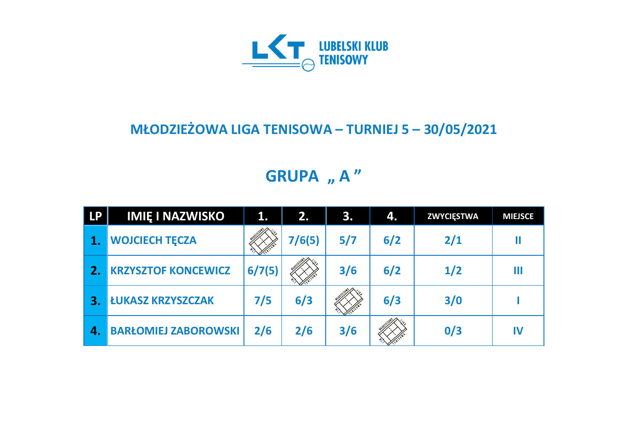

#### **MŁODZIEŻOWA LIGA TENISOWA – TURNIEJ 5 – 30/05/2021**

# **GRUPA** "A"

| <b>LP</b>        | <b>IMIĘ I NAZWISKO</b>      | $\mathbf{1}$ . | 2.1    | <b>B.</b> | 4.  | <b>ZWYCIĘSTWA</b> | <b>MIEJSCE</b> |
|------------------|-----------------------------|----------------|--------|-----------|-----|-------------------|----------------|
|                  | <b>WOJCIECH TECZA</b>       |                | 7/6(5) | 5/7       | 6/2 | 2/1               |                |
|                  | <b>KRZYSZTOF KONCEWICZ</b>  | 6/7(5)         |        | 3/6       | 6/2 | 1/2               | Ш              |
| З.               | <b>ŁUKASZ KRZYSZCZAK</b>    | 7/5            | 6/3    |           | 6/3 | 3/0               |                |
| $\boldsymbol{A}$ | <b>BARŁOMIEJ ZABOROWSKI</b> | 2/6            | 2/6    | 3/6       |     | 0/3               | IV             |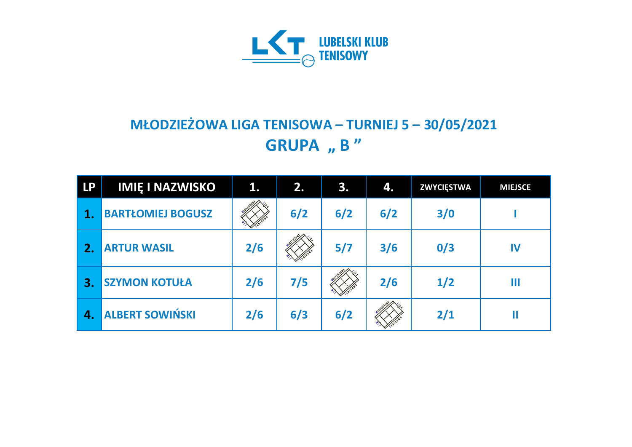

## **MŁODZIEŻOWA LIGA TENISOWA – TURNIEJ 5 – 30/05/2021 GRUPA** , **B** "

| <b>LP</b>        | <b>IMIĘ I NAZWISKO</b>   | 1.  | 2.  | 3.  | 4.  | <b>ZWYCIĘSTWA</b> | <b>MIEJSCE</b> |
|------------------|--------------------------|-----|-----|-----|-----|-------------------|----------------|
|                  | <b>BARTŁOMIEJ BOGUSZ</b> |     | 6/2 | 6/2 | 6/2 | 3/0               |                |
| 2.               | <b>ARTUR WASIL</b>       | 2/6 |     | 5/7 | 3/6 | 0/3               | IV             |
| 3.               | <b>SZYMON KOTUŁA</b>     | 2/6 | 7/5 |     | 2/6 | 1/2               | Ш              |
| $\overline{a}$ . | <b>ALBERT SOWIŃSKI</b>   | 2/6 | 6/3 | 6/2 |     | 2/1               |                |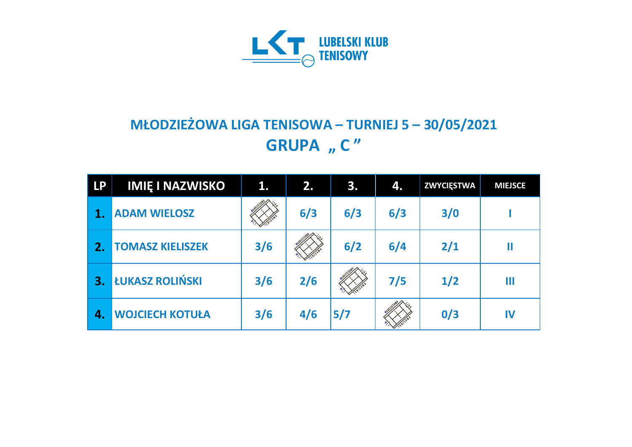

## **MŁODZIEŻOWA LIGA TENISOWA – TURNIEJ 5 – 30/05/2021 GRUPA** "  $C''$

| <b>LP</b> | <b>IMIĘ I NAZWISKO</b>  | 1.  | 2.  | 3.  | 4.  | <b>ZWYCIĘSTWA</b> | <b>MIEJSCE</b> |
|-----------|-------------------------|-----|-----|-----|-----|-------------------|----------------|
|           | <b>ADAM WIELOSZ</b>     |     | 6/3 | 6/3 | 6/3 | 3/0               |                |
| 2.        | <b>TOMASZ KIELISZEK</b> | 3/6 |     | 6/2 | 6/4 | 2/1               | Ш              |
| З.        | ŁUKASZ ROLIŃSKI         | 3/6 | 2/6 |     | 7/5 | 1/2               | Ш              |
| 4.        | <b>WOJCIECH KOTUŁA</b>  | 3/6 | 4/6 | 5/7 |     | 0/3               | IV             |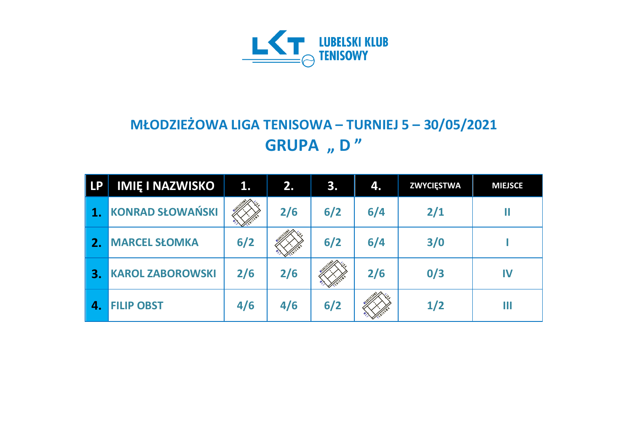

## **MŁODZIEŻOWA LIGA TENISOWA – TURNIEJ 5 – 30/05/2021 GRUPA** "D"

| <b>LP</b> | <b>IMIE I NAZWISKO</b>  | 1.  | 2.  | 3.  | 4.  | <b>ZWYCIĘSTWA</b> | <b>MIEJSCE</b> |
|-----------|-------------------------|-----|-----|-----|-----|-------------------|----------------|
|           | <b>KONRAD SŁOWAŃSKI</b> |     | 2/6 | 6/2 | 6/4 | 2/1               |                |
| 2.        | <b>MARCEL SŁOMKA</b>    | 6/2 |     | 6/2 | 6/4 | 3/0               |                |
| 3.        | <b>KAROL ZABOROWSKI</b> | 2/6 | 2/6 |     | 2/6 | 0/3               | IV             |
| 4.        | <b>FILIP OBST</b>       | 4/6 | 4/6 | 6/2 |     | 1/2               | Ш              |